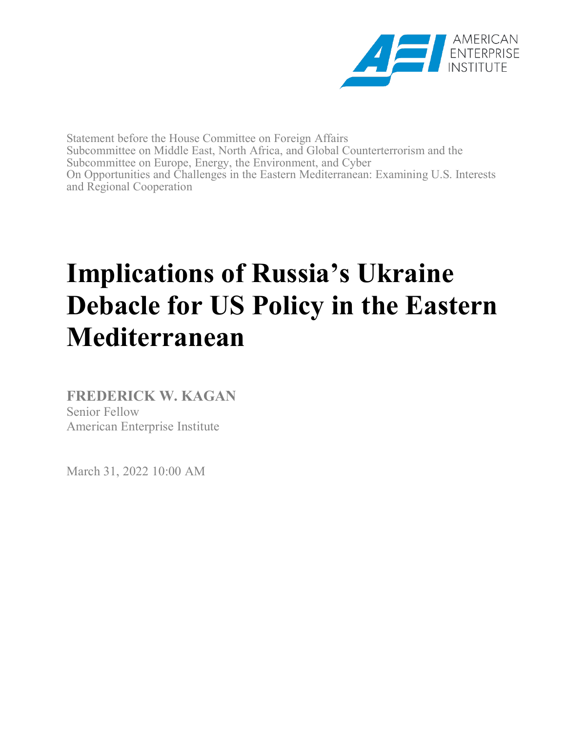

Statement before the House Committee on Foreign Affairs Subcommittee on Middle East, North Africa, and Global Counterterrorism and the Subcommittee on Europe, Energy, the Environment, and Cyber On Opportunities and Challenges in the Eastern Mediterranean: Examining U.S. Interests and Regional Cooperation

## **Implications of Russia's Ukraine Debacle for US Policy in the Eastern Mediterranean**

**FREDERICK W. KAGAN** Senior Fellow American Enterprise Institute

March 31, 2022 10:00 AM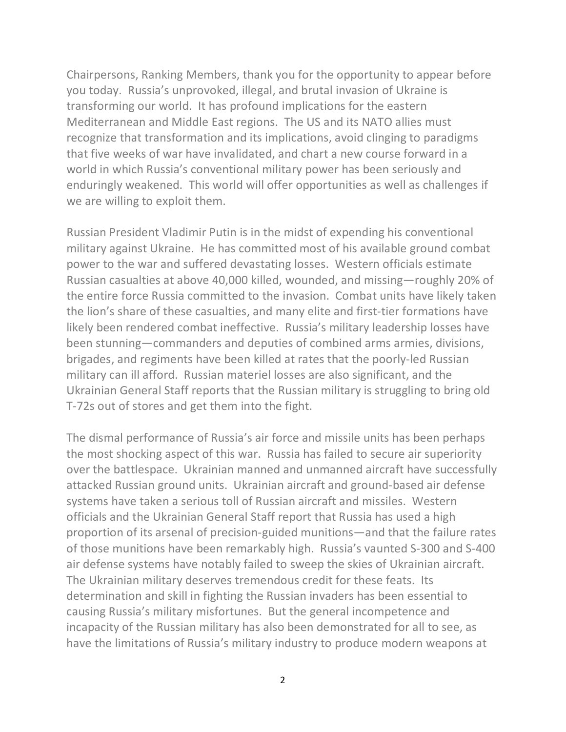Chairpersons, Ranking Members, thank you for the opportunity to appear before you today. Russia's unprovoked, illegal, and brutal invasion of Ukraine is transforming our world. It has profound implications for the eastern Mediterranean and Middle East regions. The US and its NATO allies must recognize that transformation and its implications, avoid clinging to paradigms that five weeks of war have invalidated, and chart a new course forward in a world in which Russia's conventional military power has been seriously and enduringly weakened. This world will offer opportunities as well as challenges if we are willing to exploit them.

Russian President Vladimir Putin is in the midst of expending his conventional military against Ukraine. He has committed most of his available ground combat power to the war and suffered devastating losses. Western officials estimate Russian casualties at above 40,000 killed, wounded, and missing—roughly 20% of the entire force Russia committed to the invasion. Combat units have likely taken the lion's share of these casualties, and many elite and first-tier formations have likely been rendered combat ineffective. Russia's military leadership losses have been stunning—commanders and deputies of combined arms armies, divisions, brigades, and regiments have been killed at rates that the poorly-led Russian military can ill afford. Russian materiel losses are also significant, and the Ukrainian General Staff reports that the Russian military is struggling to bring old T-72s out of stores and get them into the fight.

The dismal performance of Russia's air force and missile units has been perhaps the most shocking aspect of this war. Russia has failed to secure air superiority over the battlespace. Ukrainian manned and unmanned aircraft have successfully attacked Russian ground units. Ukrainian aircraft and ground-based air defense systems have taken a serious toll of Russian aircraft and missiles. Western officials and the Ukrainian General Staff report that Russia has used a high proportion of its arsenal of precision-guided munitions—and that the failure rates of those munitions have been remarkably high. Russia's vaunted S-300 and S-400 air defense systems have notably failed to sweep the skies of Ukrainian aircraft. The Ukrainian military deserves tremendous credit for these feats. Its determination and skill in fighting the Russian invaders has been essential to causing Russia's military misfortunes. But the general incompetence and incapacity of the Russian military has also been demonstrated for all to see, as have the limitations of Russia's military industry to produce modern weapons at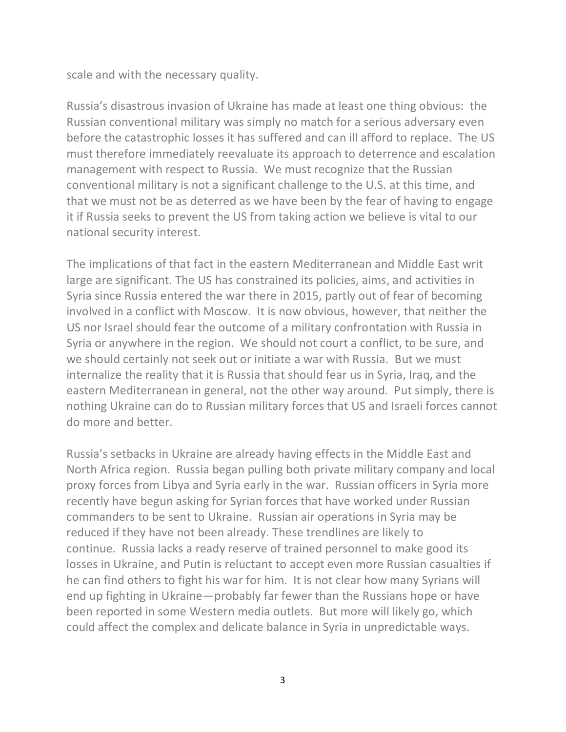scale and with the necessary quality.

Russia's disastrous invasion of Ukraine has made at least one thing obvious: the Russian conventional military was simply no match for a serious adversary even before the catastrophic losses it has suffered and can ill afford to replace. The US must therefore immediately reevaluate its approach to deterrence and escalation management with respect to Russia. We must recognize that the Russian conventional military is not a significant challenge to the U.S. at this time, and that we must not be as deterred as we have been by the fear of having to engage it if Russia seeks to prevent the US from taking action we believe is vital to our national security interest.

The implications of that fact in the eastern Mediterranean and Middle East writ large are significant. The US has constrained its policies, aims, and activities in Syria since Russia entered the war there in 2015, partly out of fear of becoming involved in a conflict with Moscow. It is now obvious, however, that neither the US nor Israel should fear the outcome of a military confrontation with Russia in Syria or anywhere in the region. We should not court a conflict, to be sure, and we should certainly not seek out or initiate a war with Russia. But we must internalize the reality that it is Russia that should fear us in Syria, Iraq, and the eastern Mediterranean in general, not the other way around. Put simply, there is nothing Ukraine can do to Russian military forces that US and Israeli forces cannot do more and better.

Russia's setbacks in Ukraine are already having effects in the Middle East and North Africa region. Russia began pulling both private military company and local proxy forces from Libya and Syria early in the war. Russian officers in Syria more recently have begun asking for Syrian forces that have worked under Russian commanders to be sent to Ukraine. Russian air operations in Syria may be reduced if they have not been already. These trendlines are likely to continue. Russia lacks a ready reserve of trained personnel to make good its losses in Ukraine, and Putin is reluctant to accept even more Russian casualties if he can find others to fight his war for him. It is not clear how many Syrians will end up fighting in Ukraine—probably far fewer than the Russians hope or have been reported in some Western media outlets. But more will likely go, which could affect the complex and delicate balance in Syria in unpredictable ways.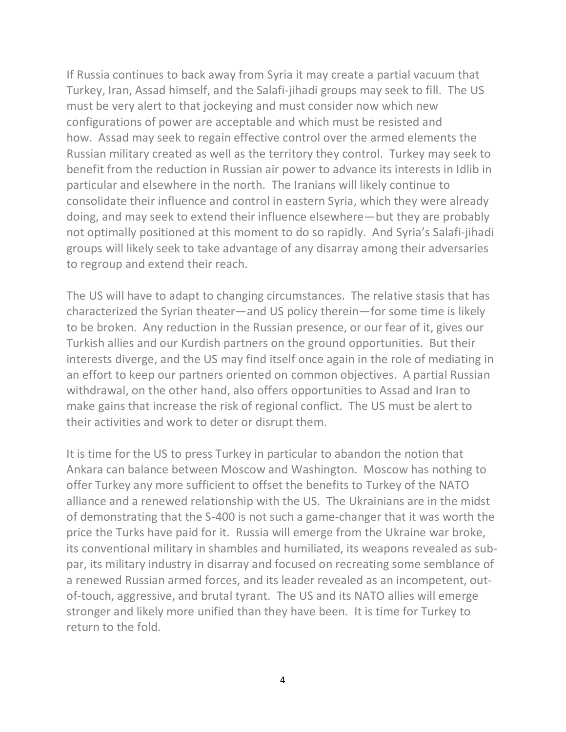If Russia continues to back away from Syria it may create a partial vacuum that Turkey, Iran, Assad himself, and the Salafi-jihadi groups may seek to fill. The US must be very alert to that jockeying and must consider now which new configurations of power are acceptable and which must be resisted and how. Assad may seek to regain effective control over the armed elements the Russian military created as well as the territory they control. Turkey may seek to benefit from the reduction in Russian air power to advance its interests in Idlib in particular and elsewhere in the north. The Iranians will likely continue to consolidate their influence and control in eastern Syria, which they were already doing, and may seek to extend their influence elsewhere—but they are probably not optimally positioned at this moment to do so rapidly. And Syria's Salafi-jihadi groups will likely seek to take advantage of any disarray among their adversaries to regroup and extend their reach.

The US will have to adapt to changing circumstances. The relative stasis that has characterized the Syrian theater—and US policy therein—for some time is likely to be broken. Any reduction in the Russian presence, or our fear of it, gives our Turkish allies and our Kurdish partners on the ground opportunities. But their interests diverge, and the US may find itself once again in the role of mediating in an effort to keep our partners oriented on common objectives. A partial Russian withdrawal, on the other hand, also offers opportunities to Assad and Iran to make gains that increase the risk of regional conflict. The US must be alert to their activities and work to deter or disrupt them.

It is time for the US to press Turkey in particular to abandon the notion that Ankara can balance between Moscow and Washington. Moscow has nothing to offer Turkey any more sufficient to offset the benefits to Turkey of the NATO alliance and a renewed relationship with the US. The Ukrainians are in the midst of demonstrating that the S-400 is not such a game-changer that it was worth the price the Turks have paid for it. Russia will emerge from the Ukraine war broke, its conventional military in shambles and humiliated, its weapons revealed as subpar, its military industry in disarray and focused on recreating some semblance of a renewed Russian armed forces, and its leader revealed as an incompetent, outof-touch, aggressive, and brutal tyrant. The US and its NATO allies will emerge stronger and likely more unified than they have been. It is time for Turkey to return to the fold.